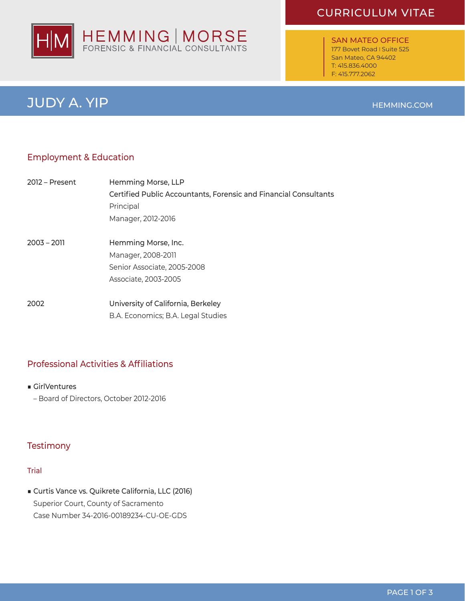# CURRICULUM VITAE



SAN MATEO OFFICE 177 Bovet Road I Suite 525 San Mateo, CA 94402 T: 415.836.4000 F: 415.777.2062

#### HEMMING.COM

JUDY A. YIP

# Employment & Education

| 2012 – Present | Hemming Morse, LLP                                               |
|----------------|------------------------------------------------------------------|
|                | Certified Public Accountants, Forensic and Financial Consultants |
|                | Principal                                                        |
|                | Manager, 2012-2016                                               |
|                |                                                                  |
| $2003 - 2011$  | Hemming Morse, Inc.                                              |
|                | Manager, 2008-2011                                               |
|                | Senior Associate, 2005-2008                                      |
|                | Associate, 2003-2005                                             |
| 2002           | University of California, Berkeley                               |
|                |                                                                  |
|                | B.A. Economics; B.A. Legal Studies                               |

# Professional Activities & Affiliations

- GirlVentures
- Board of Directors, October 2012-2016

# **Testimony**

#### Trial

■ Curtis Vance vs. Quikrete California, LLC (2016) Superior Court, County of Sacramento Case Number 34-2016-00189234-CU-OE-GDS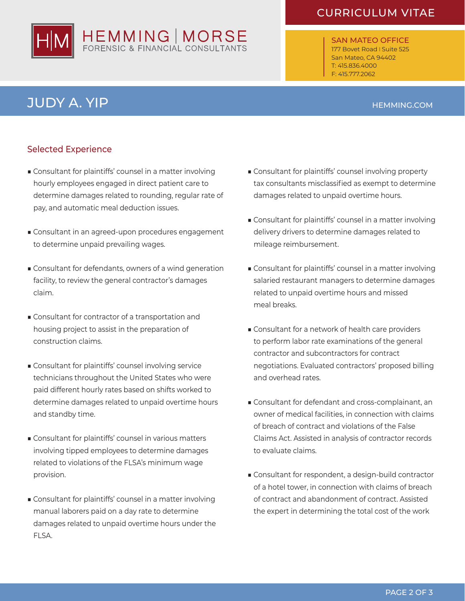# HEMMING | MORSE

# CURRICULUM VITAE

SAN MATEO OFFICE 177 Bovet Road I Suite 525 San Mateo, CA 94402 T: 415.836.4000 F: 415.777.2062

# JUDY A. YIP

# HEMMING.COM

# Selected Experience

- Consultant for plaintiffs' counsel in a matter involving hourly employees engaged in direct patient care to determine damages related to rounding, regular rate of pay, and automatic meal deduction issues.
- Consultant in an agreed-upon procedures engagement to determine unpaid prevailing wages.
- Consultant for defendants, owners of a wind generation facility, to review the general contractor's damages claim.
- Consultant for contractor of a transportation and housing project to assist in the preparation of construction claims.
- Consultant for plaintiffs' counsel involving service technicians throughout the United States who were paid different hourly rates based on shifts worked to determine damages related to unpaid overtime hours and standby time.
- Consultant for plaintiffs' counsel in various matters involving tipped employees to determine damages related to violations of the FLSA's minimum wage provision.
- Consultant for plaintiffs' counsel in a matter involving manual laborers paid on a day rate to determine damages related to unpaid overtime hours under the FLSA.
- Consultant for plaintiffs' counsel involving property tax consultants misclassified as exempt to determine damages related to unpaid overtime hours.
- Consultant for plaintiffs' counsel in a matter involving delivery drivers to determine damages related to mileage reimbursement.
- Consultant for plaintiffs' counsel in a matter involving salaried restaurant managers to determine damages related to unpaid overtime hours and missed meal breaks.
- Consultant for a network of health care providers to perform labor rate examinations of the general contractor and subcontractors for contract negotiations. Evaluated contractors' proposed billing and overhead rates.
- Consultant for defendant and cross-complainant, an owner of medical facilities, in connection with claims of breach of contract and violations of the False Claims Act. Assisted in analysis of contractor records to evaluate claims.
- Consultant for respondent, a design-build contractor of a hotel tower, in connection with claims of breach of contract and abandonment of contract. Assisted the expert in determining the total cost of the work